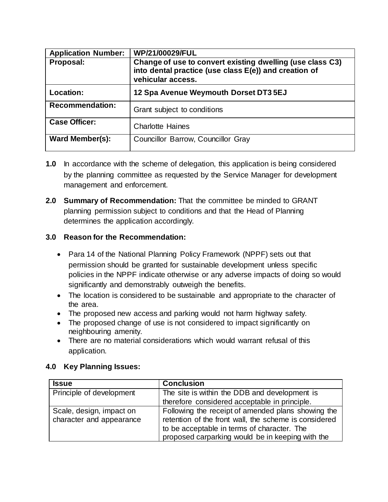| <b>Application Number:</b> | WP/21/00029/FUL                                                                                                                         |
|----------------------------|-----------------------------------------------------------------------------------------------------------------------------------------|
| Proposal:                  | Change of use to convert existing dwelling (use class C3)<br>into dental practice (use class E(e)) and creation of<br>vehicular access. |
| Location:                  | 12 Spa Avenue Weymouth Dorset DT3 5EJ                                                                                                   |
| <b>Recommendation:</b>     | Grant subject to conditions                                                                                                             |
| <b>Case Officer:</b>       | <b>Charlotte Haines</b>                                                                                                                 |
| Ward Member(s):            | Councillor Barrow, Councillor Gray                                                                                                      |

- **1.0** In accordance with the scheme of delegation, this application is being considered by the planning committee as requested by the Service Manager for development management and enforcement.
- **2.0 Summary of Recommendation:** That the committee be minded to GRANT planning permission subject to conditions and that the Head of Planning determines the application accordingly.

## **3.0 Reason for the Recommendation:**

- Para 14 of the National Planning Policy Framework (NPPF) sets out that permission should be granted for sustainable development unless specific policies in the NPPF indicate otherwise or any adverse impacts of doing so would significantly and demonstrably outweigh the benefits.
- The location is considered to be sustainable and appropriate to the character of the area.
- The proposed new access and parking would not harm highway safety.
- The proposed change of use is not considered to impact significantly on neighbouring amenity.
- There are no material considerations which would warrant refusal of this application.

## **4.0 Key Planning Issues:**

| <b>Issue</b>                                         | <b>Conclusion</b>                                                                                                                                                                                              |
|------------------------------------------------------|----------------------------------------------------------------------------------------------------------------------------------------------------------------------------------------------------------------|
| Principle of development                             | The site is within the DDB and development is                                                                                                                                                                  |
|                                                      | therefore considered acceptable in principle.                                                                                                                                                                  |
| Scale, design, impact on<br>character and appearance | Following the receipt of amended plans showing the<br>retention of the front wall, the scheme is considered<br>to be acceptable in terms of character. The<br>proposed carparking would be in keeping with the |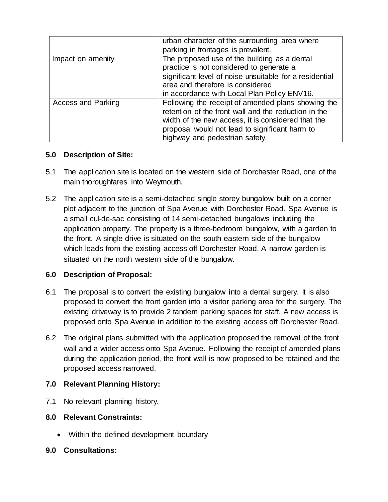|                           | urban character of the surrounding area where<br>parking in frontages is prevalent.                                                                                                                                                                  |  |
|---------------------------|------------------------------------------------------------------------------------------------------------------------------------------------------------------------------------------------------------------------------------------------------|--|
| Impact on amenity         | The proposed use of the building as a dental<br>practice is not considered to generate a<br>significant level of noise unsuitable for a residential<br>area and therefore is considered                                                              |  |
|                           | in accordance with Local Plan Policy ENV16.                                                                                                                                                                                                          |  |
| <b>Access and Parking</b> | Following the receipt of amended plans showing the<br>retention of the front wall and the reduction in the<br>width of the new access, it is considered that the<br>proposal would not lead to significant harm to<br>highway and pedestrian safety. |  |

## **5.0 Description of Site:**

- 5.1 The application site is located on the western side of Dorchester Road, one of the main thoroughfares into Weymouth.
- 5.2 The application site is a semi-detached single storey bungalow built on a corner plot adjacent to the junction of Spa Avenue with Dorchester Road. Spa Avenue is a small cul-de-sac consisting of 14 semi-detached bungalows including the application property. The property is a three-bedroom bungalow, with a garden to the front. A single drive is situated on the south eastern side of the bungalow which leads from the existing access off Dorchester Road. A narrow garden is situated on the north western side of the bungalow.

## **6.0 Description of Proposal:**

- 6.1 The proposal is to convert the existing bungalow into a dental surgery. It is also proposed to convert the front garden into a visitor parking area for the surgery. The existing driveway is to provide 2 tandem parking spaces for staff. A new access is proposed onto Spa Avenue in addition to the existing access off Dorchester Road.
- 6.2 The original plans submitted with the application proposed the removal of the front wall and a wider access onto Spa Avenue. Following the receipt of amended plans during the application period, the front wall is now proposed to be retained and the proposed access narrowed.

# **7.0 Relevant Planning History:**

- 7.1 No relevant planning history.
- **8.0 Relevant Constraints:**
	- Within the defined development boundary
- **9.0 Consultations:**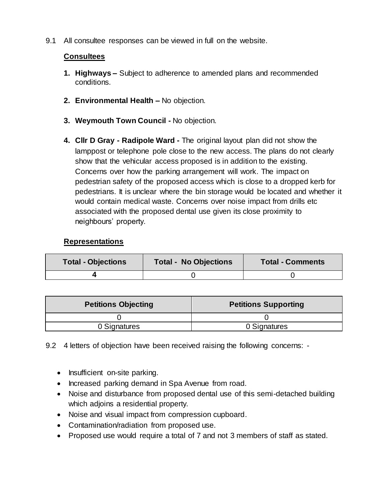9.1 All consultee responses can be viewed in full on the website.

## **Consultees**

- **1. Highways –** Subject to adherence to amended plans and recommended conditions.
- **2. Environmental Health –** No objection.
- **3. Weymouth Town Council -** No objection.
- **4. Cllr D Gray - Radipole Ward -** The original layout plan did not show the lamppost or telephone pole close to the new access. The plans do not clearly show that the vehicular access proposed is in addition to the existing. Concerns over how the parking arrangement will work. The impact on pedestrian safety of the proposed access which is close to a dropped kerb for pedestrians. It is unclear where the bin storage would be located and whether it would contain medical waste. Concerns over noise impact from drills etc associated with the proposed dental use given its close proximity to neighbours' property.

### **Representations**

| <b>Total - Objections</b> | <b>Total - No Objections</b> | <b>Total - Comments</b> |
|---------------------------|------------------------------|-------------------------|
|                           |                              |                         |

| <b>Petitions Objecting</b> | <b>Petitions Supporting</b> |  |
|----------------------------|-----------------------------|--|
|                            |                             |  |
| 0 Signatures               | 0 Signatures                |  |

9.2 4 letters of objection have been received raising the following concerns: -

- Insufficient on-site parking.
- Increased parking demand in Spa Avenue from road.
- Noise and disturbance from proposed dental use of this semi-detached building which adjoins a residential property.
- Noise and visual impact from compression cupboard.
- Contamination/radiation from proposed use.
- Proposed use would require a total of 7 and not 3 members of staff as stated.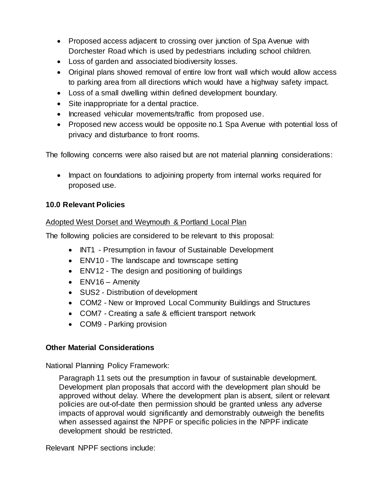- Proposed access adjacent to crossing over junction of Spa Avenue with Dorchester Road which is used by pedestrians including school children.
- Loss of garden and associated biodiversity losses.
- Original plans showed removal of entire low front wall which would allow access to parking area from all directions which would have a highway safety impact.
- Loss of a small dwelling within defined development boundary.
- Site inappropriate for a dental practice.
- Increased vehicular movements/traffic from proposed use.
- Proposed new access would be opposite no.1 Spa Avenue with potential loss of privacy and disturbance to front rooms.

The following concerns were also raised but are not material planning considerations:

• Impact on foundations to adjoining property from internal works required for proposed use.

## **10.0 Relevant Policies**

## Adopted West Dorset and Weymouth & Portland Local Plan

The following policies are considered to be relevant to this proposal:

- INT1 Presumption in favour of Sustainable Development
- ENV10 The landscape and townscape setting
- ENV12 The design and positioning of buildings
- ENV16 Amenity
- SUS2 Distribution of development
- COM2 New or Improved Local Community Buildings and Structures
- COM7 Creating a safe & efficient transport network
- COM9 Parking provision

## **Other Material Considerations**

National Planning Policy Framework:

Paragraph 11 sets out the presumption in favour of sustainable development. Development plan proposals that accord with the development plan should be approved without delay. Where the development plan is absent, silent or relevant policies are out-of-date then permission should be granted unless any adverse impacts of approval would significantly and demonstrably outweigh the benefits when assessed against the NPPF or specific policies in the NPPF indicate development should be restricted.

Relevant NPPF sections include: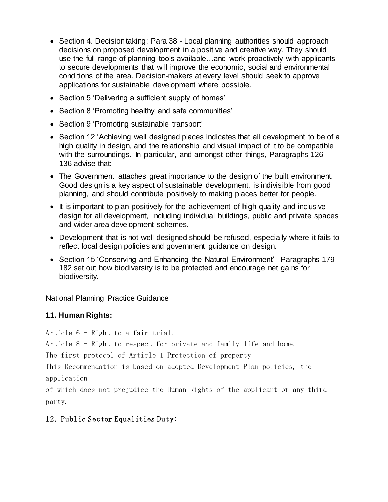- Section 4. Decision taking: Para 38 Local planning authorities should approach decisions on proposed development in a positive and creative way. They should use the full range of planning tools available…and work proactively with applicants to secure developments that will improve the economic, social and environmental conditions of the area. Decision-makers at every level should seek to approve applications for sustainable development where possible.
- Section 5 'Delivering a sufficient supply of homes'
- Section 8 'Promoting healthy and safe communities'
- Section 9 'Promoting sustainable transport'
- Section 12 'Achieving well designed places indicates that all development to be of a high quality in design, and the relationship and visual impact of it to be compatible with the surroundings. In particular, and amongst other things, Paragraphs 126 – 136 advise that:
- The Government attaches great importance to the design of the built environment. Good design is a key aspect of sustainable development, is indivisible from good planning, and should contribute positively to making places better for people.
- It is important to plan positively for the achievement of high quality and inclusive design for all development, including individual buildings, public and private spaces and wider area development schemes.
- Development that is not well designed should be refused, especially where it fails to reflect local design policies and government guidance on design.
- Section 15 'Conserving and Enhancing the Natural Environment' Paragraphs 179-182 set out how biodiversity is to be protected and encourage net gains for biodiversity.

National Planning Practice Guidance

## **11. Human Rights:**

Article 6 - Right to a fair trial.

Article 8 - Right to respect for private and family life and home.

The first protocol of Article 1 Protection of property

This Recommendation is based on adopted Development Plan policies, the application

of which does not prejudice the Human Rights of the applicant or any third party.

## 12. Public Sector Equalities Duty: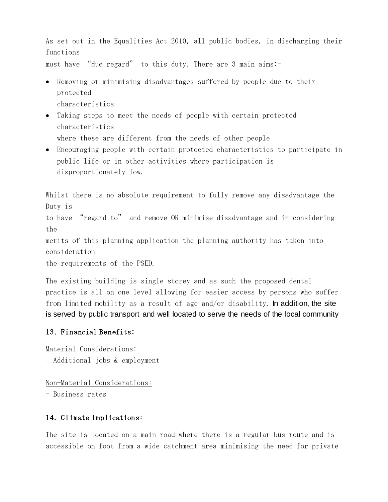As set out in the Equalities Act 2010, all public bodies, in discharging their functions

must have "due regard" to this duty. There are 3 main aims:-

- Removing or minimising disadvantages suffered by people due to their protected characteristics
- Taking steps to meet the needs of people with certain protected characteristics where these are different from the needs of other people
- Encouraging people with certain protected characteristics to participate in public life or in other activities where participation is disproportionately low.

Whilst there is no absolute requirement to fully remove any disadvantage the Duty is

to have "regard to" and remove OR minimise disadvantage and in considering the

merits of this planning application the planning authority has taken into consideration

the requirements of the PSED.

The existing building is single storey and as such the proposed dental practice is all on one level allowing for easier access by persons who suffer from limited mobility as a result of age and/or disability. In addition, the site is served by public transport and well located to serve the needs of the local community

### 13. Financial Benefits:

Material Considerations: - Additional jobs & employment

Non-Material Considerations: - Business rates

### 14. Climate Implications:

The site is located on a main road where there is a regular bus route and is accessible on foot from a wide catchment area minimising the need for private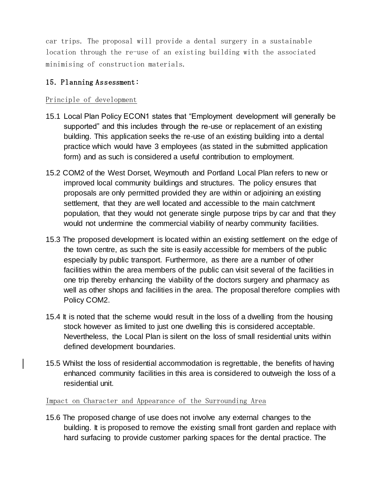car trips. The proposal will provide a dental surgery in a sustainable location through the re-use of an existing building with the associated minimising of construction materials.

### 15. Planning Assessment:

### Principle of development

- 15.1 Local Plan Policy ECON1 states that "Employment development will generally be supported" and this includes through the re-use or replacement of an existing building. This application seeks the re-use of an existing building into a dental practice which would have 3 employees (as stated in the submitted application form) and as such is considered a useful contribution to employment.
- 15.2 COM2 of the West Dorset, Weymouth and Portland Local Plan refers to new or improved local community buildings and structures. The policy ensures that proposals are only permitted provided they are within or adjoining an existing settlement, that they are well located and accessible to the main catchment population, that they would not generate single purpose trips by car and that they would not undermine the commercial viability of nearby community facilities.
- 15.3 The proposed development is located within an existing settlement on the edge of the town centre, as such the site is easily accessible for members of the public especially by public transport. Furthermore, as there are a number of other facilities within the area members of the public can visit several of the facilities in one trip thereby enhancing the viability of the doctors surgery and pharmacy as well as other shops and facilities in the area. The proposal therefore complies with Policy COM2.
- 15.4 It is noted that the scheme would result in the loss of a dwelling from the housing stock however as limited to just one dwelling this is considered acceptable. Nevertheless, the Local Plan is silent on the loss of small residential units within defined development boundaries.
- 15.5 Whilst the loss of residential accommodation is regrettable, the benefits of having enhanced community facilities in this area is considered to outweigh the loss of a residential unit.

#### Impact on Character and Appearance of the Surrounding Area

15.6 The proposed change of use does not involve any external changes to the building. It is proposed to remove the existing small front garden and replace with hard surfacing to provide customer parking spaces for the dental practice. The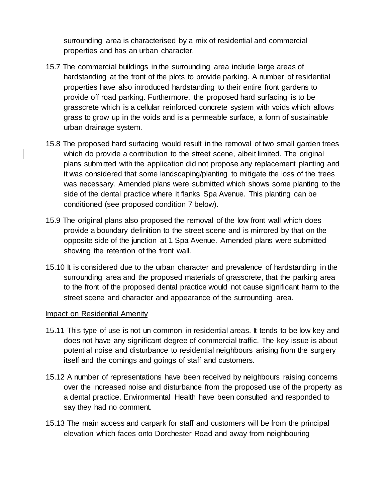surrounding area is characterised by a mix of residential and commercial properties and has an urban character.

- 15.7 The commercial buildings in the surrounding area include large areas of hardstanding at the front of the plots to provide parking. A number of residential properties have also introduced hardstanding to their entire front gardens to provide off road parking. Furthermore, the proposed hard surfacing is to be grasscrete which is a cellular reinforced concrete system with voids which allows grass to grow up in the voids and is a permeable surface, a form of sustainable urban drainage system.
- 15.8 The proposed hard surfacing would result in the removal of two small garden trees which do provide a contribution to the street scene, albeit limited. The original plans submitted with the application did not propose any replacement planting and it was considered that some landscaping/planting to mitigate the loss of the trees was necessary. Amended plans were submitted which shows some planting to the side of the dental practice where it flanks Spa Avenue. This planting can be conditioned (see proposed condition 7 below).
- 15.9 The original plans also proposed the removal of the low front wall which does provide a boundary definition to the street scene and is mirrored by that on the opposite side of the junction at 1 Spa Avenue. Amended plans were submitted showing the retention of the front wall.
- 15.10 It is considered due to the urban character and prevalence of hardstanding in the surrounding area and the proposed materials of grasscrete, that the parking area to the front of the proposed dental practice would not cause significant harm to the street scene and character and appearance of the surrounding area.

#### Impact on Residential Amenity

- 15.11 This type of use is not un-common in residential areas. It tends to be low key and does not have any significant degree of commercial traffic. The key issue is about potential noise and disturbance to residential neighbours arising from the surgery itself and the comings and goings of staff and customers.
- 15.12 A number of representations have been received by neighbours raising concerns over the increased noise and disturbance from the proposed use of the property as a dental practice. Environmental Health have been consulted and responded to say they had no comment.
- 15.13 The main access and carpark for staff and customers will be from the principal elevation which faces onto Dorchester Road and away from neighbouring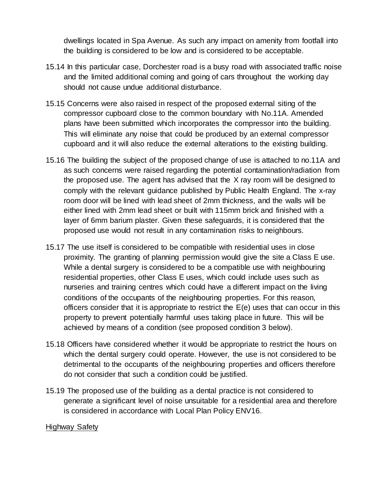dwellings located in Spa Avenue. As such any impact on amenity from footfall into the building is considered to be low and is considered to be acceptable.

- 15.14 In this particular case, Dorchester road is a busy road with associated traffic noise and the limited additional coming and going of cars throughout the working day should not cause undue additional disturbance.
- 15.15 Concerns were also raised in respect of the proposed external siting of the compressor cupboard close to the common boundary with No.11A. Amended plans have been submitted which incorporates the compressor into the building. This will eliminate any noise that could be produced by an external compressor cupboard and it will also reduce the external alterations to the existing building.
- 15.16 The building the subject of the proposed change of use is attached to no.11A and as such concerns were raised regarding the potential contamination/radiation from the proposed use. The agent has advised that the X ray room will be designed to comply with the relevant guidance published by Public Health England. The x-ray room door will be lined with lead sheet of 2mm thickness, and the walls will be either lined with 2mm lead sheet or built with 115mm brick and finished with a layer of 6mm barium plaster. Given these safeguards, it is considered that the proposed use would not result in any contamination risks to neighbours.
- 15.17 The use itself is considered to be compatible with residential uses in close proximity. The granting of planning permission would give the site a Class E use. While a dental surgery is considered to be a compatible use with neighbouring residential properties, other Class E uses, which could include uses such as nurseries and training centres which could have a different impact on the living conditions of the occupants of the neighbouring properties. For this reason, officers consider that it is appropriate to restrict the E(e) uses that can occur in this property to prevent potentially harmful uses taking place in future. This will be achieved by means of a condition (see proposed condition 3 below).
- 15.18 Officers have considered whether it would be appropriate to restrict the hours on which the dental surgery could operate. However, the use is not considered to be detrimental to the occupants of the neighbouring properties and officers therefore do not consider that such a condition could be justified.
- 15.19 The proposed use of the building as a dental practice is not considered to generate a significant level of noise unsuitable for a residential area and therefore is considered in accordance with Local Plan Policy ENV16.

### Highway Safety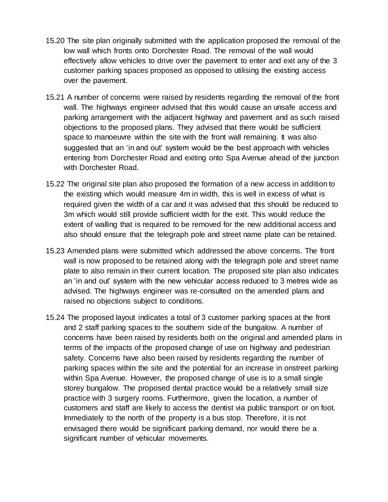- 15.20 The site plan originally submitted with the application proposed the removal of the low wall which fronts onto Dorchester Road. The removal of the wall would effectively allow vehicles to drive over the pavement to enter and exit any of the 3 customer parking spaces proposed as opposed to utilising the existing access over the pavement.
- 15.21 A number of concerns were raised by residents regarding the removal of the front wall. The highways engineer advised that this would cause an unsafe access and parking arrangement with the adjacent highway and pavement and as such raised objections to the proposed plans. They advised that there would be sufficient space to manoeuvre within the site with the front wall remaining. It was also suggested that an 'in and out' system would be the best approach with vehicles entering from Dorchester Road and exiting onto Spa Avenue ahead of the junction with Dorchester Road.
- 15.22 The original site plan also proposed the formation of a new access in addition to the existing which would measure 4m in width, this is well in excess of what is required given the width of a car and it was advised that this should be reduced to 3m which would still provide sufficient width for the exit. This would reduce the extent of walling that is required to be removed for the new additional access and also should ensure that the telegraph pole and street name plate can be retained.
- 15.23 Amended plans were submitted which addressed the above concerns. The front wall is now proposed to be retained along with the telegraph pole and street name plate to also remain in their current location. The proposed site plan also indicates an 'in and out' system with the new vehicular access reduced to 3 metres wide as advised. The highways engineer was re-consulted on the amended plans and raised no objections subject to conditions.
- 15.24 The proposed layout indicates a total of 3 customer parking spaces at the front and 2 staff parking spaces to the southern side of the bungalow. A number of concerns have been raised by residents both on the original and amended plans in terms of the impacts of the proposed change of use on highway and pedestrian safety. Concerns have also been raised by residents regarding the number of parking spaces within the site and the potential for an increase in onstreet parking within Spa Avenue. However, the proposed change of use is to a small single storey bungalow. The proposed dental practice would be a relatively small size practice with 3 surgery rooms. Furthermore, given the location, a number of customers and staff are likely to access the dentist via public transport or on foot. Immediately to the north of the property is a bus stop. Therefore, it is not envisaged there would be significant parking demand, nor would there be a significant number of vehicular movements.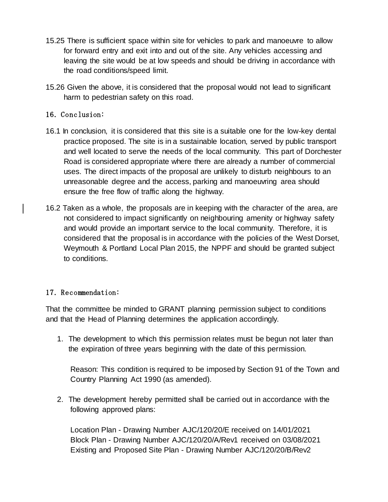- 15.25 There is sufficient space within site for vehicles to park and manoeuvre to allow for forward entry and exit into and out of the site. Any vehicles accessing and leaving the site would be at low speeds and should be driving in accordance with the road conditions/speed limit.
- 15.26 Given the above, it is considered that the proposal would not lead to significant harm to pedestrian safety on this road.

## 16. Conclusion:

- 16.1 In conclusion, it is considered that this site is a suitable one for the low-key dental practice proposed. The site is in a sustainable location, served by public transport and well located to serve the needs of the local community. This part of Dorchester Road is considered appropriate where there are already a number of commercial uses. The direct impacts of the proposal are unlikely to disturb neighbours to an unreasonable degree and the access, parking and manoeuvring area should ensure the free flow of traffic along the highway.
- 16.2 Taken as a whole, the proposals are in keeping with the character of the area, are not considered to impact significantly on neighbouring amenity or highway safety and would provide an important service to the local community. Therefore, it is considered that the proposal is in accordance with the policies of the West Dorset, Weymouth & Portland Local Plan 2015, the NPPF and should be granted subject to conditions.

### 17. Recommendation:

That the committee be minded to GRANT planning permission subject to conditions and that the Head of Planning determines the application accordingly.

1. The development to which this permission relates must be begun not later than the expiration of three years beginning with the date of this permission.

Reason: This condition is required to be imposed by Section 91 of the Town and Country Planning Act 1990 (as amended).

2. The development hereby permitted shall be carried out in accordance with the following approved plans:

Location Plan - Drawing Number AJC/120/20/E received on 14/01/2021 Block Plan - Drawing Number AJC/120/20/A/Rev1 received on 03/08/2021 Existing and Proposed Site Plan - Drawing Number AJC/120/20/B/Rev2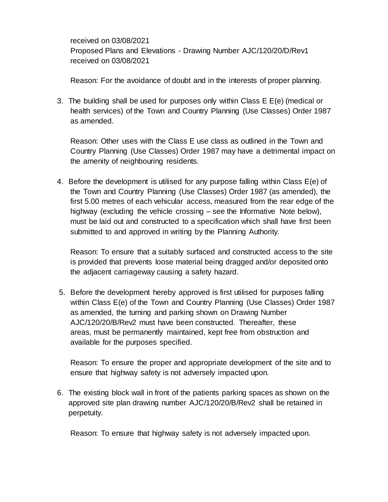received on 03/08/2021 Proposed Plans and Elevations - Drawing Number AJC/120/20/D/Rev1 received on 03/08/2021

Reason: For the avoidance of doubt and in the interests of proper planning.

3. The building shall be used for purposes only within Class E E(e) (medical or health services) of the Town and Country Planning (Use Classes) Order 1987 as amended.

Reason: Other uses with the Class E use class as outlined in the Town and Country Planning (Use Classes) Order 1987 may have a detrimental impact on the amenity of neighbouring residents.

4. Before the development is utilised for any purpose falling within Class E(e) of the Town and Country Planning (Use Classes) Order 1987 (as amended), the first 5.00 metres of each vehicular access, measured from the rear edge of the highway (excluding the vehicle crossing – see the Informative Note below), must be laid out and constructed to a specification which shall have first been submitted to and approved in writing by the Planning Authority.

Reason: To ensure that a suitably surfaced and constructed access to the site is provided that prevents loose material being dragged and/or deposited onto the adjacent carriageway causing a safety hazard.

5. Before the development hereby approved is first utilised for purposes falling within Class E(e) of the Town and Country Planning (Use Classes) Order 1987 as amended, the turning and parking shown on Drawing Number AJC/120/20/B/Rev2 must have been constructed. Thereafter, these areas, must be permanently maintained, kept free from obstruction and available for the purposes specified.

Reason: To ensure the proper and appropriate development of the site and to ensure that highway safety is not adversely impacted upon.

6. The existing block wall in front of the patients parking spaces as shown on the approved site plan drawing number AJC/120/20/B/Rev2 shall be retained in perpetuity.

Reason: To ensure that highway safety is not adversely impacted upon.